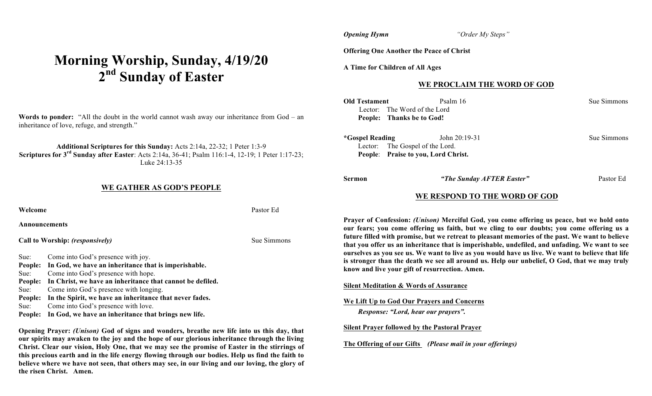# **Morning Worship, Sunday, 4/19/20 2nd Sunday of Easter**

**Words to ponder:** "All the doubt in the world cannot wash away our inheritance from God – an inheritance of love, refuge, and strength."

#### **Additional Scriptures for this Sunday:** Acts 2:14a, 22-32; 1 Peter 1:3-9 **Scriptures for 3rd Sunday after Easter**: Acts 2:14a, 36-41; Psalm 116:1-4, 12-19; 1 Peter 1:17-23; Luke 24:13-35

#### **WE GATHER AS GOD'S PEOPLE**

| Welcome       |                                                              | Pastor Ed |
|---------------|--------------------------------------------------------------|-----------|
| Announcements |                                                              |           |
|               | Call to Worship: (responsively)                              | Sue Simn  |
| Sue:          | Come into God's presence with joy.                           |           |
|               | People: In God, we have an inheritance that is imperishable. |           |
| Sue:          | Come into God's presence with hope.                          |           |
| People:       | In Christ, we have an inheritance that cannot be defiled.    |           |
| Sue:          | Come into God's presence with longing.                       |           |

**People: In the Spirit, we have an inheritance that never fades.**

Sue: Come into God's presence with love.

**People: In God, we have an inheritance that brings new life.**

**Opening Prayer:** *(Unison)* **God of signs and wonders, breathe new life into us this day, that our spirits may awaken to the joy and the hope of our glorious inheritance through the living Christ. Clear our vision, Holy One, that we may see the promise of Easter in the stirrings of this precious earth and in the life energy flowing through our bodies. Help us find the faith to believe where we have not seen, that others may see, in our living and our loving, the glory of the risen Christ. Amen.** 

*Opening Hymn**"Order My Steps"*

**Offering One Another the Peace of Christ**

**A Time for Children of All Ages**

#### **WE PROCLAIM THE WORD OF GOD**

| Old Testament   | Psalm 16                            | Sue Simmons |
|-----------------|-------------------------------------|-------------|
|                 | Lector: The Word of the Lord        |             |
|                 | People: Thanks be to God!           |             |
| *Gospel Reading | John 20:19-31                       | Sue Simmons |
|                 | Lector: The Gospel of the Lord.     |             |
|                 | People: Praise to you, Lord Christ. |             |
|                 |                                     |             |

**Sue Simmons** 

**Sermon** *"The Sunday AFTER Easter"* Pastor Ed

#### **WE RESPOND TO THE WORD OF GOD**

**Prayer of Confession:** *(Unison)* **Merciful God, you come offering us peace, but we hold onto our fears; you come offering us faith, but we cling to our doubts; you come offering us a future filled with promise, but we retreat to pleasant memories of the past. We want to believe that you offer us an inheritance that is imperishable, undefiled, and unfading. We want to see ourselves as you see us. We want to live as you would have us live. We want to believe that life is stronger than the death we see all around us. Help our unbelief, O God, that we may truly know and live your gift of resurrection. Amen.**

**Silent Meditation & Words of Assurance**

**We Lift Up to God Our Prayers and Concerns** *Response: "Lord, hear our prayers".*

**Silent Prayer followed by the Pastoral Prayer**

**The Offering of our Gifts** *(Please mail in your offerings)*